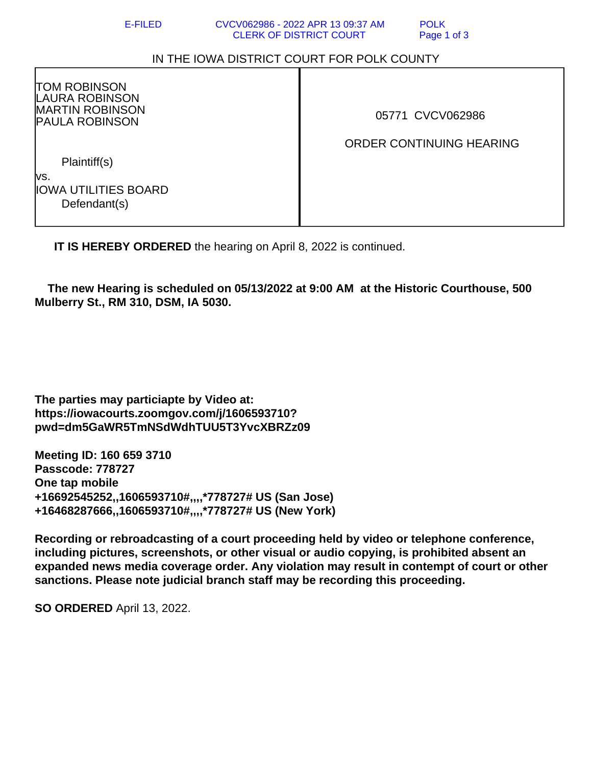## IN THE IOWA DISTRICT COURT FOR POLK COUNTY

TOM ROBINSON LAURA ROBINSON MARTIN ROBINSON PAULA ROBINSON

05771 CVCV062986

## ORDER CONTINUING HEARING

 Plaintiff(s) vs.

IOWA UTILITIES BOARD Defendant(s)

**IT IS HEREBY ORDERED** the hearing on April 8, 2022 is continued.

 **The new Hearing is scheduled on 05/13/2022 at 9:00 AM at the Historic Courthouse, 500 Mulberry St., RM 310, DSM, IA 5030.**

**The parties may particiapte by Video at: https://iowacourts.zoomgov.com/j/1606593710? pwd=dm5GaWR5TmNSdWdhTUU5T3YvcXBRZz09**

**Meeting ID: 160 659 3710 Passcode: 778727 One tap mobile +16692545252,,1606593710#,,,,\*778727# US (San Jose) +16468287666,,1606593710#,,,,\*778727# US (New York)**

**Recording or rebroadcasting of a court proceeding held by video or telephone conference, including pictures, screenshots, or other visual or audio copying, is prohibited absent an expanded news media coverage order. Any violation may result in contempt of court or other sanctions. Please note judicial branch staff may be recording this proceeding.**

**SO ORDERED** April 13, 2022.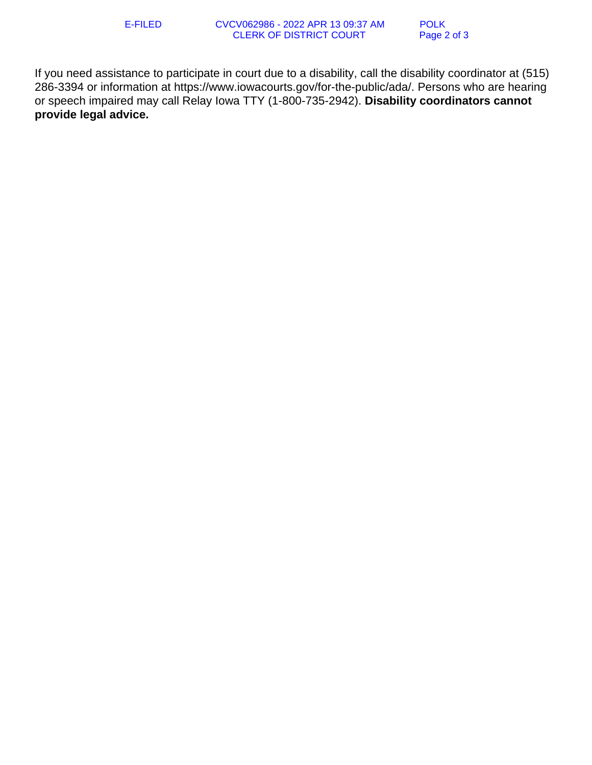If you need assistance to participate in court due to a disability, call the disability coordinator at (515) 286-3394 or information at https://www.iowacourts.gov/for-the-public/ada/. Persons who are hearing or speech impaired may call Relay Iowa TTY (1-800-735-2942). **Disability coordinators cannot provide legal advice.**